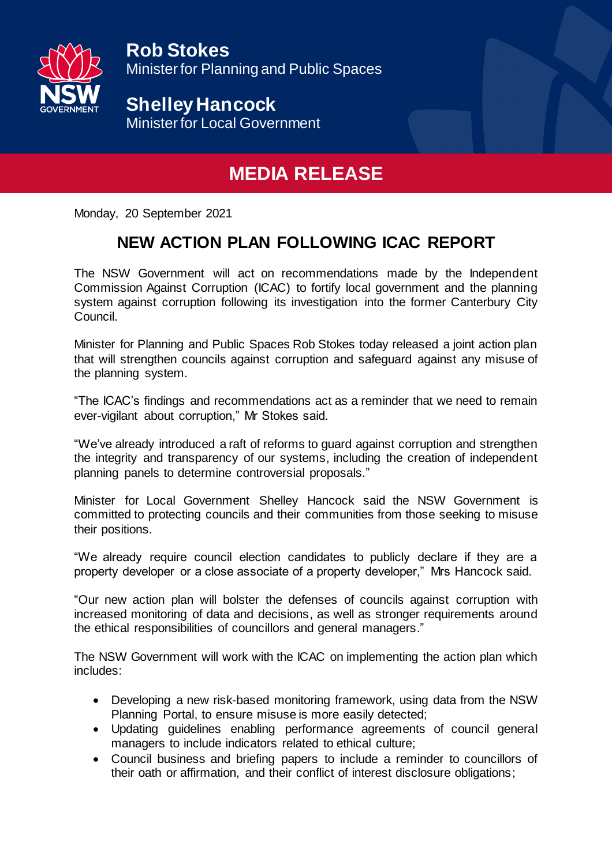

**Rob Stokes** Minister for Planning and Public Spaces

**Shelley Hancock** Minister for Local Government

## **MEDIA RELEASE**

Monday, 20 September 2021

## **NEW ACTION PLAN FOLLOWING ICAC REPORT**

The NSW Government will act on recommendations made by the Independent Commission Against Corruption (ICAC) to fortify local government and the planning system against corruption following its investigation into the former Canterbury City Council.

Minister for Planning and Public Spaces Rob Stokes today released a joint action plan that will strengthen councils against corruption and safeguard against any misuse of the planning system.

"The ICAC's findings and recommendations act as a reminder that we need to remain ever-vigilant about corruption," Mr Stokes said.

"We've already introduced a raft of reforms to guard against corruption and strengthen the integrity and transparency of our systems, including the creation of independent planning panels to determine controversial proposals."

Minister for Local Government Shelley Hancock said the NSW Government is committed to protecting councils and their communities from those seeking to misuse their positions.

"We already require council election candidates to publicly declare if they are a property developer or a close associate of a property developer," Mrs Hancock said.

"Our new action plan will bolster the defenses of councils against corruption with increased monitoring of data and decisions, as well as stronger requirements around the ethical responsibilities of councillors and general managers."

The NSW Government will work with the ICAC on implementing the action plan which includes:

- Developing a new risk-based monitoring framework, using data from the NSW Planning Portal, to ensure misuse is more easily detected;
- Updating guidelines enabling performance agreements of council general managers to include indicators related to ethical culture;
- Council business and briefing papers to include a reminder to councillors of their oath or affirmation, and their conflict of interest disclosure obligations;